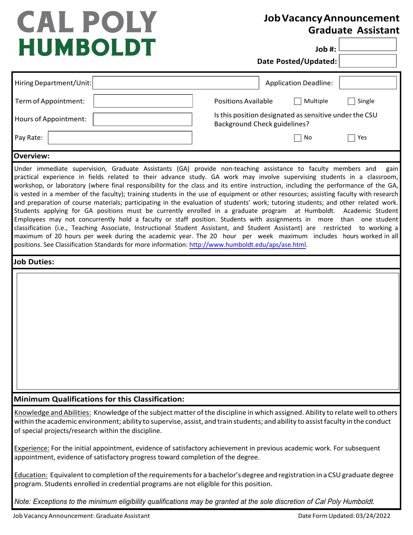## **CAL POLY HUMBOLDT**

## **JobVacancyAnnouncement Graduate Assistant**

**Job #:**

**Date Posted/Updated:**

| Hiring Department/Unit:                                                                                                                                                                                                                                                                                                     | <b>Application Deadline:</b>                                                                                                                                                                                                                                                                                                                                                                                                                                                                                                                                                                                                                                                                                                                                                                                                                                                                                                                       |
|-----------------------------------------------------------------------------------------------------------------------------------------------------------------------------------------------------------------------------------------------------------------------------------------------------------------------------|----------------------------------------------------------------------------------------------------------------------------------------------------------------------------------------------------------------------------------------------------------------------------------------------------------------------------------------------------------------------------------------------------------------------------------------------------------------------------------------------------------------------------------------------------------------------------------------------------------------------------------------------------------------------------------------------------------------------------------------------------------------------------------------------------------------------------------------------------------------------------------------------------------------------------------------------------|
| Term of Appointment:                                                                                                                                                                                                                                                                                                        | <b>Positions Available</b><br>Multiple<br>Single                                                                                                                                                                                                                                                                                                                                                                                                                                                                                                                                                                                                                                                                                                                                                                                                                                                                                                   |
| Hours of Appointment:                                                                                                                                                                                                                                                                                                       | Is this position designated as sensitive under the CSU<br><b>Background Check guidelines?</b>                                                                                                                                                                                                                                                                                                                                                                                                                                                                                                                                                                                                                                                                                                                                                                                                                                                      |
| Pay Rate:                                                                                                                                                                                                                                                                                                                   | No<br>Yes                                                                                                                                                                                                                                                                                                                                                                                                                                                                                                                                                                                                                                                                                                                                                                                                                                                                                                                                          |
| <b>Overview:</b>                                                                                                                                                                                                                                                                                                            |                                                                                                                                                                                                                                                                                                                                                                                                                                                                                                                                                                                                                                                                                                                                                                                                                                                                                                                                                    |
| Students applying for GA positions must be currently enrolled in a graduate program at Humboldt.<br>classification (i.e., Teaching Associate, Instructional Student Assistant, and Student Assistant) are restricted<br>positions. See Classification Standards for more information: http://www.humboldt.edu/aps/ase.html. | Under immediate supervision, Graduate Assistants (GA) provide non-teaching assistance to faculty members and<br>gain<br>practical experience in fields related to their advance study. GA work may involve supervising students in a classroom,<br>workshop, or laboratory (where final responsibility for the class and its entire instruction, including the performance of the GA,<br>is vested in a member of the faculty); training students in the use of equipment or other resources; assisting faculty with research<br>and preparation of course materials; participating in the evaluation of students' work; tutoring students; and other related work.<br>Academic Student<br>Employees may not concurrently hold a faculty or staff position. Students with assignments in more than one student<br>to working a<br>maximum of 20 hours per week during the academic year. The 20 hour per week maximum includes hours worked in all |
| <b>Job Duties:</b>                                                                                                                                                                                                                                                                                                          |                                                                                                                                                                                                                                                                                                                                                                                                                                                                                                                                                                                                                                                                                                                                                                                                                                                                                                                                                    |
|                                                                                                                                                                                                                                                                                                                             |                                                                                                                                                                                                                                                                                                                                                                                                                                                                                                                                                                                                                                                                                                                                                                                                                                                                                                                                                    |
| Minimum Qualifications for this Classification:                                                                                                                                                                                                                                                                             |                                                                                                                                                                                                                                                                                                                                                                                                                                                                                                                                                                                                                                                                                                                                                                                                                                                                                                                                                    |
| of special projects/research within the discipline.                                                                                                                                                                                                                                                                         | Knowledge and Abilities: Knowledge of the subject matter of the discipline in which assigned. Ability to relate well to others<br>within the academic environment; ability to supervise, assist, and train students; and ability to assist faculty in the conduct                                                                                                                                                                                                                                                                                                                                                                                                                                                                                                                                                                                                                                                                                  |
| appointment, evidence of satisfactory progress toward completion of the degree.                                                                                                                                                                                                                                             | Experience: For the initial appointment, evidence of satisfactory achievement in previous academic work. For subsequent                                                                                                                                                                                                                                                                                                                                                                                                                                                                                                                                                                                                                                                                                                                                                                                                                            |
| program. Students enrolled in credential programs are not eligible for this position.                                                                                                                                                                                                                                       | Education: Equivalent to completion of the requirements for a bachelor's degree and registration in a CSU graduate degree                                                                                                                                                                                                                                                                                                                                                                                                                                                                                                                                                                                                                                                                                                                                                                                                                          |

*Note: Exceptions to the minimum eligibility qualifications may be granted at the sole discretion of* Cal Poly Humboldt*.*